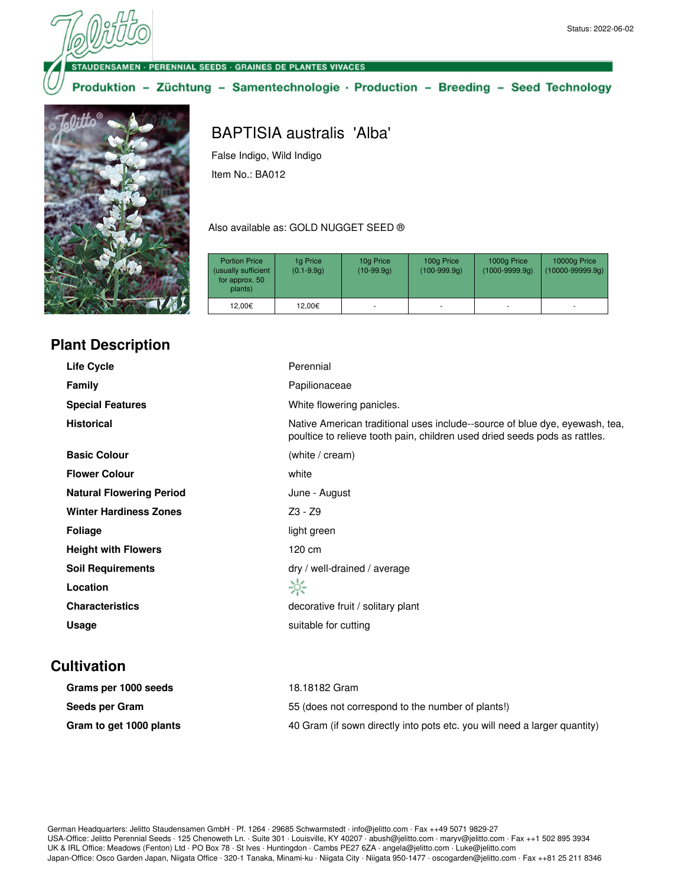**DENSAMEN · PERENNIAL SEEDS · GRAINES DE PLANTES VIVACES** 

Produktion - Züchtung - Samentechnologie · Production - Breeding - Seed Technology



## **Plant Description**

## BAPTISIA australis 'Alba'

False Indigo, Wild Indigo Item No.: BA012

Also available as: GOLD NUGGET SEED ®

| <b>Portion Price</b><br>(usually sufficient<br>for approx. 50<br>plants) | 1g Price<br>$(0.1 - 9.9q)$ | 10g Price<br>$(10-99.9q)$ | 100g Price<br>$(100-999.9q)$ | 1000g Price<br>$(1000 - 9999.9q)$ | 10000g Price<br>$(10000 - 99999.9q)$ |
|--------------------------------------------------------------------------|----------------------------|---------------------------|------------------------------|-----------------------------------|--------------------------------------|
| 12.00€                                                                   | 12,00€                     | ٠                         | ۰                            | ۰                                 | ۰                                    |

| Life Cycle                      | Perennial                                                                                                                                                 |
|---------------------------------|-----------------------------------------------------------------------------------------------------------------------------------------------------------|
| <b>Family</b>                   | Papilionaceae                                                                                                                                             |
| <b>Special Features</b>         | White flowering panicles.                                                                                                                                 |
| <b>Historical</b>               | Native American traditional uses include--source of blue dye, eyewash, tea,<br>poultice to relieve tooth pain, children used dried seeds pods as rattles. |
| <b>Basic Colour</b>             | (white / cream)                                                                                                                                           |
| <b>Flower Colour</b>            | white                                                                                                                                                     |
| <b>Natural Flowering Period</b> | June - August                                                                                                                                             |
| <b>Winter Hardiness Zones</b>   | Z3 - Z9                                                                                                                                                   |
| <b>Foliage</b>                  | light green                                                                                                                                               |
| <b>Height with Flowers</b>      | 120 cm                                                                                                                                                    |
| <b>Soil Requirements</b>        | dry / well-drained / average                                                                                                                              |
| Location                        | ☆                                                                                                                                                         |
| <b>Characteristics</b>          | decorative fruit / solitary plant                                                                                                                         |
| Usage                           | suitable for cutting                                                                                                                                      |
|                                 |                                                                                                                                                           |

## **Cultivation**

| Grams per 1000 seeds    | 18.18182 Gram                                                             |
|-------------------------|---------------------------------------------------------------------------|
| Seeds per Gram          | 55 (does not correspond to the number of plants!)                         |
| Gram to get 1000 plants | 40 Gram (if sown directly into pots etc. you will need a larger quantity) |